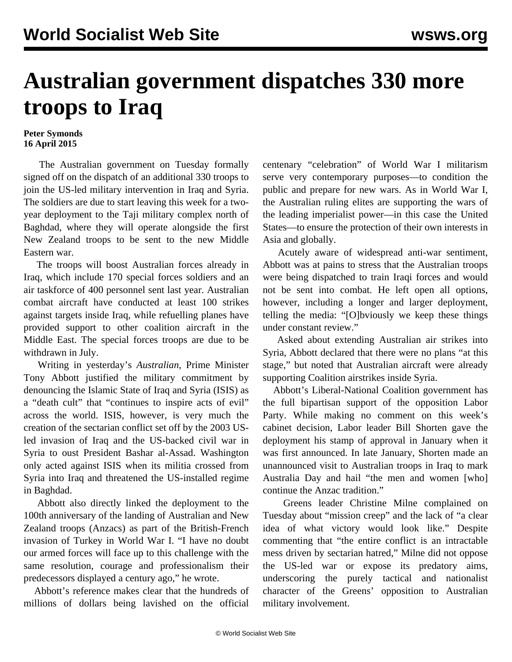## **Australian government dispatches 330 more troops to Iraq**

## **Peter Symonds 16 April 2015**

 The Australian government on Tuesday formally signed off on the dispatch of an additional 330 troops to join the US-led military intervention in Iraq and Syria. The soldiers are due to start leaving this week for a twoyear deployment to the Taji military complex north of Baghdad, where they will operate alongside the first New Zealand troops to be sent to the new Middle Eastern war.

 The troops will boost Australian forces already in Iraq, which include 170 special forces soldiers and an air taskforce of 400 personnel sent last year. Australian combat aircraft have conducted at least 100 strikes against targets inside Iraq, while refuelling planes have provided support to other coalition aircraft in the Middle East. The special forces troops are due to be withdrawn in July.

 Writing in yesterday's *Australian*, Prime Minister Tony Abbott justified the military commitment by denouncing the Islamic State of Iraq and Syria (ISIS) as a "death cult" that "continues to inspire acts of evil" across the world. ISIS, however, is very much the creation of the sectarian conflict set off by the 2003 USled invasion of Iraq and the US-backed civil war in Syria to oust President Bashar al-Assad. Washington only acted against ISIS when its militia crossed from Syria into Iraq and threatened the US-installed regime in Baghdad.

 Abbott also directly linked the deployment to the 100th anniversary of the landing of Australian and New Zealand troops (Anzacs) as part of the British-French invasion of Turkey in World War I. "I have no doubt our armed forces will face up to this challenge with the same resolution, courage and professionalism their predecessors displayed a century ago," he wrote.

 Abbott's reference makes clear that the hundreds of millions of dollars being lavished on the official centenary "celebration" of World War I militarism serve very contemporary purposes—to condition the public and prepare for new wars. As in World War I, the Australian ruling elites are supporting the wars of the leading imperialist power—in this case the United States—to ensure the protection of their own interests in Asia and globally.

 Acutely aware of widespread anti-war sentiment, Abbott was at pains to stress that the Australian troops were being dispatched to train Iraqi forces and would not be sent into combat. He left open all options, however, including a longer and larger deployment, telling the media: "[O]bviously we keep these things under constant review."

 Asked about extending Australian air strikes into Syria, Abbott declared that there were no plans "at this stage," but noted that Australian aircraft were already supporting Coalition airstrikes inside Syria.

 Abbott's Liberal-National Coalition government has the full bipartisan support of the opposition Labor Party. While making no comment on this week's cabinet decision, Labor leader Bill Shorten gave the deployment his stamp of approval in January when it was first announced. In late January, Shorten made an unannounced visit to Australian troops in Iraq to mark Australia Day and hail "the men and women [who] continue the Anzac tradition."

 Greens leader Christine Milne complained on Tuesday about "mission creep" and the lack of "a clear idea of what victory would look like." Despite commenting that "the entire conflict is an intractable mess driven by sectarian hatred," Milne did not oppose the US-led war or expose its predatory aims, underscoring the purely tactical and nationalist character of the Greens' opposition to Australian military involvement.